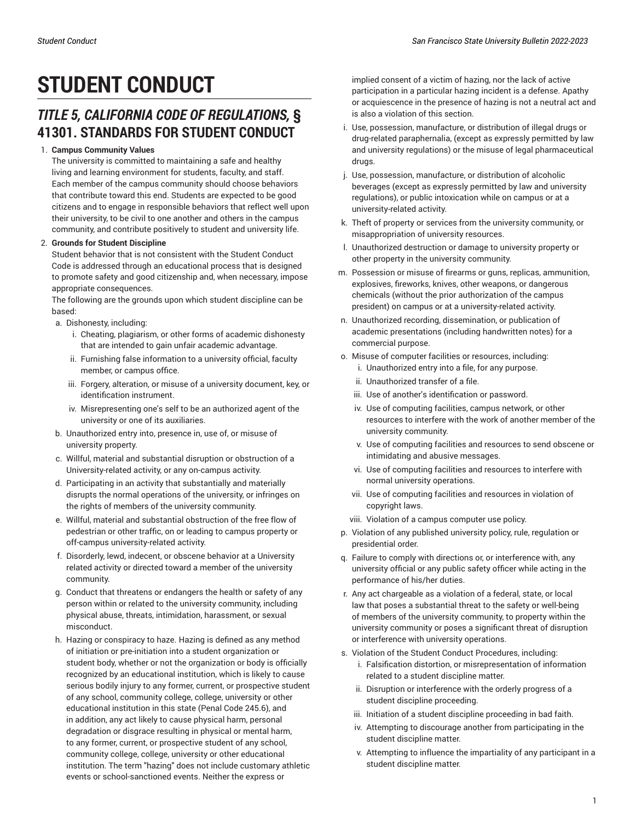# **STUDENT CONDUCT**

### *TITLE 5, CALIFORNIA CODE OF REGULATIONS,* **§ 41301. STANDARDS FOR STUDENT CONDUCT**

#### 1. **Campus Community Values**

The university is committed to maintaining a safe and healthy living and learning environment for students, faculty, and staff. Each member of the campus community should choose behaviors that contribute toward this end. Students are expected to be good citizens and to engage in responsible behaviors that reflect well upon their university, to be civil to one another and others in the campus community, and contribute positively to student and university life.

#### 2. **Grounds for Student Discipline**

Student behavior that is not consistent with the Student Conduct Code is addressed through an educational process that is designed to promote safety and good citizenship and, when necessary, impose appropriate consequences.

The following are the grounds upon which student discipline can be based:

a. Dishonesty, including:

- i. Cheating, plagiarism, or other forms of academic dishonesty that are intended to gain unfair academic advantage.
- ii. Furnishing false information to a university official, faculty member, or campus office.
- iii. Forgery, alteration, or misuse of a university document, key, or identification instrument.
- iv. Misrepresenting one's self to be an authorized agent of the university or one of its auxiliaries.
- b. Unauthorized entry into, presence in, use of, or misuse of university property.
- c. Willful, material and substantial disruption or obstruction of a University-related activity, or any on-campus activity.
- d. Participating in an activity that substantially and materially disrupts the normal operations of the university, or infringes on the rights of members of the university community.
- e. Willful, material and substantial obstruction of the free flow of pedestrian or other traffic, on or leading to campus property or off-campus university-related activity.
- f. Disorderly, lewd, indecent, or obscene behavior at a University related activity or directed toward a member of the university community.
- g. Conduct that threatens or endangers the health or safety of any person within or related to the university community, including physical abuse, threats, intimidation, harassment, or sexual misconduct.
- h. Hazing or conspiracy to haze. Hazing is defined as any method of initiation or pre-initiation into a student organization or student body, whether or not the organization or body is officially recognized by an educational institution, which is likely to cause serious bodily injury to any former, current, or prospective student of any school, community college, college, university or other educational institution in this state (Penal Code 245.6), and in addition, any act likely to cause physical harm, personal degradation or disgrace resulting in physical or mental harm, to any former, current, or prospective student of any school, community college, college, university or other educational institution. The term "hazing" does not include customary athletic events or school-sanctioned events. Neither the express or

implied consent of a victim of hazing, nor the lack of active participation in a particular hazing incident is a defense. Apathy or acquiescence in the presence of hazing is not a neutral act and is also a violation of this section.

- i. Use, possession, manufacture, or distribution of illegal drugs or drug-related paraphernalia, (except as expressly permitted by law and university regulations) or the misuse of legal pharmaceutical drugs.
- j. Use, possession, manufacture, or distribution of alcoholic beverages (except as expressly permitted by law and university regulations), or public intoxication while on campus or at a university-related activity.
- k. Theft of property or services from the university community, or misappropriation of university resources.
- l. Unauthorized destruction or damage to university property or other property in the university community.
- m. Possession or misuse of firearms or guns, replicas, ammunition, explosives, fireworks, knives, other weapons, or dangerous chemicals (without the prior authorization of the campus president) on campus or at a university-related activity.
- n. Unauthorized recording, dissemination, or publication of academic presentations (including handwritten notes) for a commercial purpose.
- o. Misuse of computer facilities or resources, including:
	- i. Unauthorized entry into a file, for any purpose.
	- ii. Unauthorized transfer of a file.
	- iii. Use of another's identification or password.
	- iv. Use of computing facilities, campus network, or other resources to interfere with the work of another member of the university community.
	- v. Use of computing facilities and resources to send obscene or intimidating and abusive messages.
	- vi. Use of computing facilities and resources to interfere with normal university operations.
	- vii. Use of computing facilities and resources in violation of copyright laws.
	- viii. Violation of a campus computer use policy.
- p. Violation of any published university policy, rule, regulation or presidential order.
- q. Failure to comply with directions or, or interference with, any university official or any public safety officer while acting in the performance of his/her duties.
- r. Any act chargeable as a violation of a federal, state, or local law that poses a substantial threat to the safety or well-being of members of the university community, to property within the university community or poses a significant threat of disruption or interference with university operations.
- s. Violation of the Student Conduct Procedures, including: i. Falsification distortion, or misrepresentation of information related to a student discipline matter.
	- ii. Disruption or interference with the orderly progress of a student discipline proceeding.
	- iii. Initiation of a student discipline proceeding in bad faith.
	- iv. Attempting to discourage another from participating in the student discipline matter.
	- v. Attempting to influence the impartiality of any participant in a student discipline matter.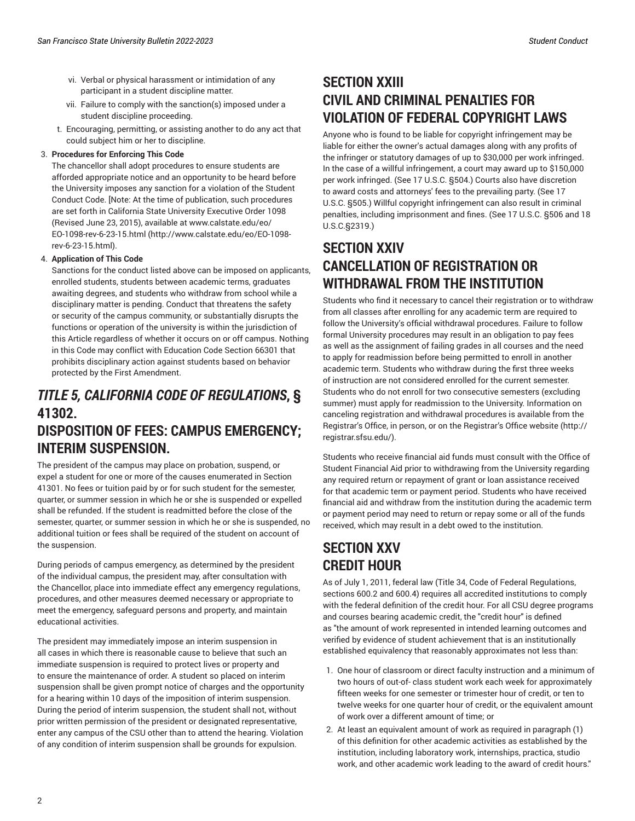- vi. Verbal or physical harassment or intimidation of any participant in a student discipline matter.
- vii. Failure to comply with the sanction(s) imposed under a student discipline proceeding.
- t. Encouraging, permitting, or assisting another to do any act that could subject him or her to discipline.

#### 3. **Procedures for Enforcing This Code**

The chancellor shall adopt procedures to ensure students are afforded appropriate notice and an opportunity to be heard before the University imposes any sanction for a violation of the Student Conduct Code. [Note: At the time of publication, such procedures are set forth in California State University Executive Order 1098 (Revised June 23, 2015), available at [www.calstate.edu/eo/](http://www.calstate.edu/eo/EO-1098-rev-6-23-15.html) [EO-1098-rev-6-23-15.html \(http://www.calstate.edu/eo/EO-1098](http://www.calstate.edu/eo/EO-1098-rev-6-23-15.html) [rev-6-23-15.html](http://www.calstate.edu/eo/EO-1098-rev-6-23-15.html)).

#### 4. **Application of This Code**

Sanctions for the conduct listed above can be imposed on applicants, enrolled students, students between academic terms, graduates awaiting degrees, and students who withdraw from school while a disciplinary matter is pending. Conduct that threatens the safety or security of the campus community, or substantially disrupts the functions or operation of the university is within the jurisdiction of this Article regardless of whether it occurs on or off campus. Nothing in this Code may conflict with Education Code Section 66301 that prohibits disciplinary action against students based on behavior protected by the First Amendment.

### *TITLE 5, CALIFORNIA CODE OF REGULATIONS***, § 41302. DISPOSITION OF FEES: CAMPUS EMERGENCY; INTERIM SUSPENSION.**

The president of the campus may place on probation, suspend, or expel a student for one or more of the causes enumerated in Section 41301. No fees or tuition paid by or for such student for the semester, quarter, or summer session in which he or she is suspended or expelled shall be refunded. If the student is readmitted before the close of the semester, quarter, or summer session in which he or she is suspended, no additional tuition or fees shall be required of the student on account of the suspension.

During periods of campus emergency, as determined by the president of the individual campus, the president may, after consultation with the Chancellor, place into immediate effect any emergency regulations, procedures, and other measures deemed necessary or appropriate to meet the emergency, safeguard persons and property, and maintain educational activities.

The president may immediately impose an interim suspension in all cases in which there is reasonable cause to believe that such an immediate suspension is required to protect lives or property and to ensure the maintenance of order. A student so placed on interim suspension shall be given prompt notice of charges and the opportunity for a hearing within 10 days of the imposition of interim suspension. During the period of interim suspension, the student shall not, without prior written permission of the president or designated representative, enter any campus of the CSU other than to attend the hearing. Violation of any condition of interim suspension shall be grounds for expulsion.

### **SECTION XXIII CIVIL AND CRIMINAL PENALTIES FOR VIOLATION OF FEDERAL COPYRIGHT LAWS**

Anyone who is found to be liable for copyright infringement may be liable for either the owner's actual damages along with any profits of the infringer or statutory damages of up to \$30,000 per work infringed. In the case of a willful infringement, a court may award up to \$150,000 per work infringed. (See 17 U.S.C. §504.) Courts also have discretion to award costs and attorneys' fees to the prevailing party. (See 17 U.S.C. §505.) Willful copyright infringement can also result in criminal penalties, including imprisonment and fines. (See 17 U.S.C. §506 and 18 U.S.C.§2319.)

## **SECTION XXIV CANCELLATION OF REGISTRATION OR WITHDRAWAL FROM THE INSTITUTION**

Students who find it necessary to cancel their registration or to withdraw from all classes after enrolling for any academic term are required to follow the University's official withdrawal procedures. Failure to follow formal University procedures may result in an obligation to pay fees as well as the assignment of failing grades in all courses and the need to apply for readmission before being permitted to enroll in another academic term. Students who withdraw during the first three weeks of instruction are not considered enrolled for the current semester. Students who do not enroll for two consecutive semesters (excluding summer) must apply for readmission to the University. Information on canceling registration and withdrawal procedures is available from the Registrar's Office, in person, or on the [Registrar's](http://registrar.sfsu.edu/) Office website [\(http://](http://registrar.sfsu.edu/) [registrar.sfsu.edu/\)](http://registrar.sfsu.edu/).

Students who receive financial aid funds must consult with the Office of Student Financial Aid prior to withdrawing from the University regarding any required return or repayment of grant or loan assistance received for that academic term or payment period. Students who have received financial aid and withdraw from the institution during the academic term or payment period may need to return or repay some or all of the funds received, which may result in a debt owed to the institution.

# **SECTION XXV CREDIT HOUR**

As of July 1, 2011, federal law (Title 34, Code of Federal Regulations, sections 600.2 and 600.4) requires all accredited institutions to comply with the federal definition of the credit hour. For all CSU degree programs and courses bearing academic credit, the "credit hour" is defined as "the amount of work represented in intended learning outcomes and verified by evidence of student achievement that is an institutionally established equivalency that reasonably approximates not less than:

- 1. One hour of classroom or direct faculty instruction and a minimum of two hours of out-of- class student work each week for approximately fifteen weeks for one semester or trimester hour of credit, or ten to twelve weeks for one quarter hour of credit, or the equivalent amount of work over a different amount of time; or
- 2. At least an equivalent amount of work as required in paragraph (1) of this definition for other academic activities as established by the institution, including laboratory work, internships, practica, studio work, and other academic work leading to the award of credit hours."